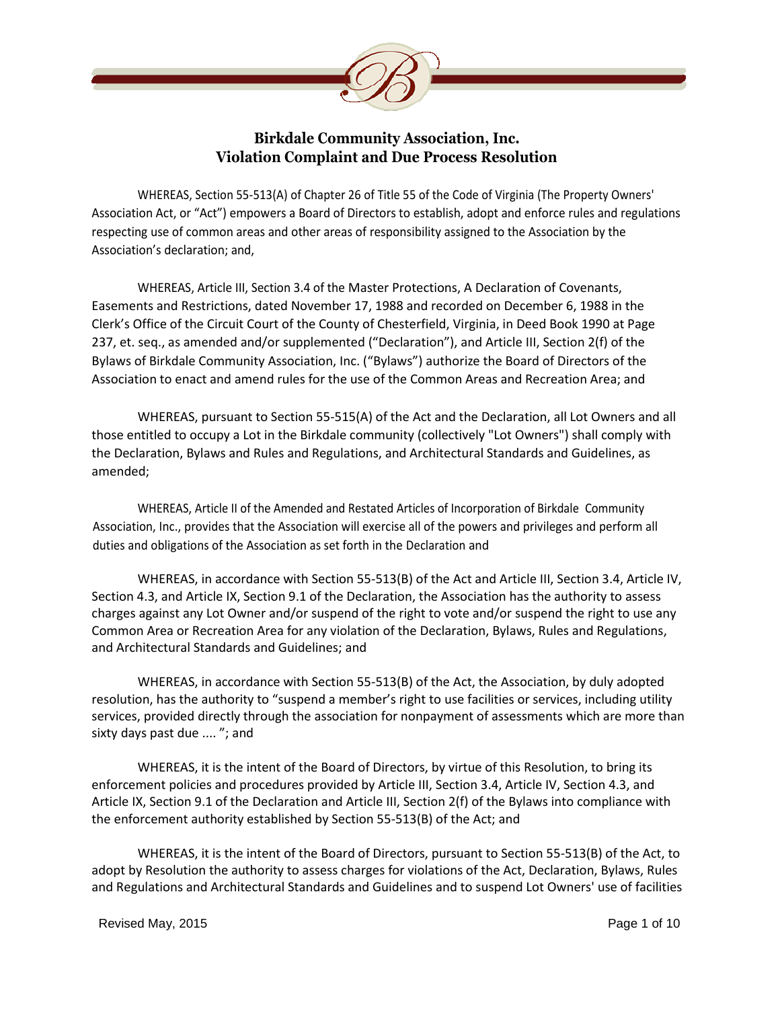

## **Birkdale Community Association, Inc. Violation Complaint and Due Process Resolution**

WHEREAS, Section 55-513(A) of Chapter 26 of Title 55 of the Code of Virginia (The Property Owners' Association Act, or "Act") empowers a Board of Directors to establish, adopt and enforce rules and regulations respecting use of common areas and other areas of responsibility assigned to the Association by the Association's declaration; and,

WHEREAS, Article III, Section 3.4 of the Master Protections, A Declaration of Covenants, Easements and Restrictions, dated November 17, 1988 and recorded on December 6, 1988 in the Clerk's Office of the Circuit Court of the County of Chesterfield, Virginia, in Deed Book 1990 at Page 237, et. seq., as amended and/or supplemented ("Declaration"), and Article III, Section 2(f) of the Bylaws of Birkdale Community Association, Inc. ("Bylaws") authorize the Board of Directors of the Association to enact and amend rules for the use of the Common Areas and Recreation Area; and

WHEREAS, pursuant to Section 55-515(A) of the Act and the Declaration, all Lot Owners and all those entitled to occupy a Lot in the Birkdale community (collectively "Lot Owners") shall comply with the Declaration, Bylaws and Rules and Regulations, and Architectural Standards and Guidelines, as amended;

WHEREAS, Article II of the Amended and Restated Articles of Incorporation of Birkdale Community Association, Inc., provides that the Association will exercise all of the powers and privileges and perform all duties and obligations of the Association as set forth in the Declaration and

WHEREAS, in accordance with Section 55-513(B) of the Act and Article III, Section 3.4, Article IV, Section 4.3, and Article IX, Section 9.1 of the Declaration, the Association has the authority to assess charges against any Lot Owner and/or suspend of the right to vote and/or suspend the right to use any Common Area or Recreation Area for any violation of the Declaration, Bylaws, Rules and Regulations, and Architectural Standards and Guidelines; and

WHEREAS, in accordance with Section 55-513(B) of the Act, the Association, by duly adopted resolution, has the authority to "suspend a member's right to use facilities or services, including utility services, provided directly through the association for nonpayment of assessments which are more than sixty days past due .... "; and

WHEREAS, it is the intent of the Board of Directors, by virtue of this Resolution, to bring its enforcement policies and procedures provided by Article III, Section 3.4, Article IV, Section 4.3, and Article IX, Section 9.1 of the Declaration and Article III, Section 2(f) of the Bylaws into compliance with the enforcement authority established by Section 55-513(B) of the Act; and

WHEREAS, it is the intent of the Board of Directors, pursuant to Section 55-513(B) of the Act, to adopt by Resolution the authority to assess charges for violations of the Act, Declaration, Bylaws, Rules and Regulations and Architectural Standards and Guidelines and to suspend Lot Owners' use of facilities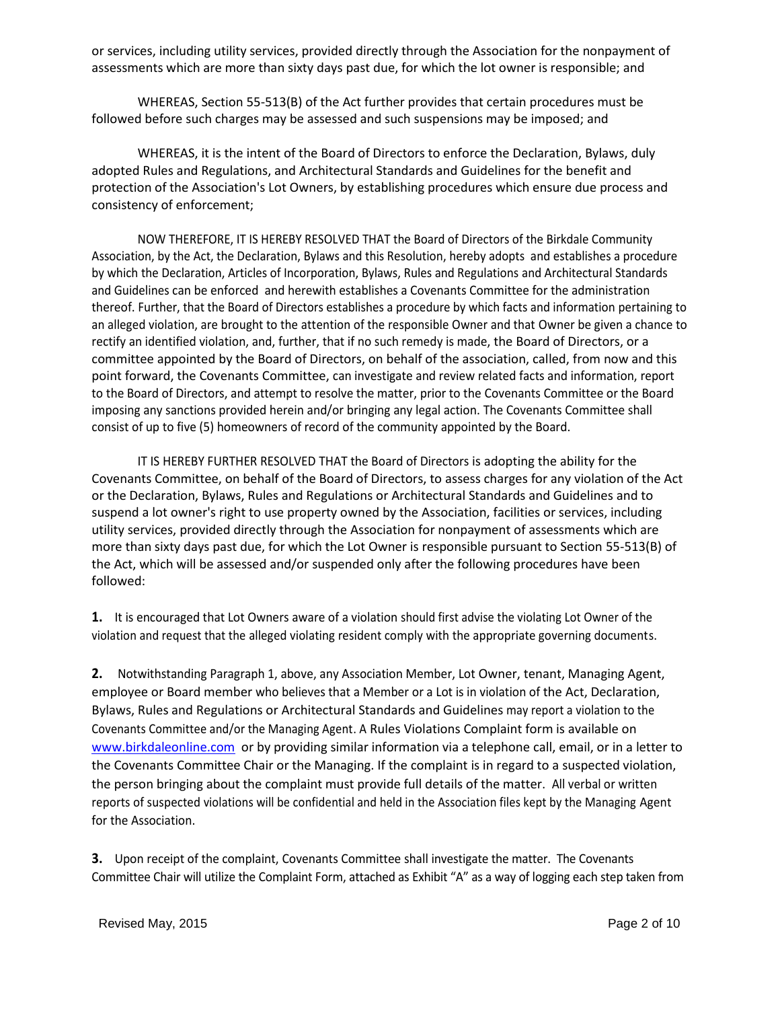or services, including utility services, provided directly through the Association for the nonpayment of assessments which are more than sixty days past due, for which the lot owner is responsible; and

WHEREAS, Section 55-513(B) of the Act further provides that certain procedures must be followed before such charges may be assessed and such suspensions may be imposed; and

WHEREAS, it is the intent of the Board of Directors to enforce the Declaration, Bylaws, duly adopted Rules and Regulations, and Architectural Standards and Guidelines for the benefit and protection of the Association's Lot Owners, by establishing procedures which ensure due process and consistency of enforcement;

NOW THEREFORE, IT IS HEREBY RESOLVED THAT the Board of Directors of the Birkdale Community Association, by the Act, the Declaration, Bylaws and this Resolution, hereby adopts and establishes a procedure by which the Declaration, Articles of Incorporation, Bylaws, Rules and Regulations and Architectural Standards and Guidelines can be enforced and herewith establishes a Covenants Committee for the administration thereof. Further, that the Board of Directors establishes a procedure by which facts and information pertaining to an alleged violation, are brought to the attention of the responsible Owner and that Owner be given a chance to rectify an identified violation, and, further, that if no such remedy is made, the Board of Directors, or a committee appointed by the Board of Directors, on behalf of the association, called, from now and this point forward, the Covenants Committee, can investigate and review related facts and information, report to the Board of Directors, and attempt to resolve the matter, prior to the Covenants Committee or the Board imposing any sanctions provided herein and/or bringing any legal action. The Covenants Committee shall consist of up to five (5) homeowners of record of the community appointed by the Board.

IT IS HEREBY FURTHER RESOLVED THAT the Board of Directors is adopting the ability for the Covenants Committee, on behalf of the Board of Directors, to assess charges for any violation of the Act or the Declaration, Bylaws, Rules and Regulations or Architectural Standards and Guidelines and to suspend a lot owner's right to use property owned by the Association, facilities or services, including utility services, provided directly through the Association for nonpayment of assessments which are more than sixty days past due, for which the Lot Owner is responsible pursuant to Section 55-513(B) of the Act, which will be assessed and/or suspended only after the following procedures have been followed:

**1.** It is encouraged that Lot Owners aware of a violation should first advise the violating Lot Owner of the violation and request that the alleged violating resident comply with the appropriate governing documents.

**2.** Notwithstanding Paragraph 1, above, any Association Member, Lot Owner, tenant, Managing Agent, employee or Board member who believes that a Member or a Lot is in violation of the Act, Declaration, Bylaws, Rules and Regulations or Architectural Standards and Guidelines may report a violation to the Covenants Committee and/or the Managing Agent. A Rules Violations Complaint form is available on [www.birkdaleonline.com](http://www.birkdaleonline.com/) or by providing similar information via a telephone call, email, or in a letter to the Covenants Committee Chair or the Managing. If the complaint is in regard to a suspected violation, the person bringing about the complaint must provide full details of the matter. All verbal or written reports of suspected violations will be confidential and held in the Association files kept by the Managing Agent for the Association.

**3.** Upon receipt of the complaint, Covenants Committee shall investigate the matter. The Covenants Committee Chair will utilize the Complaint Form, attached as Exhibit "A" as a way of logging each step taken from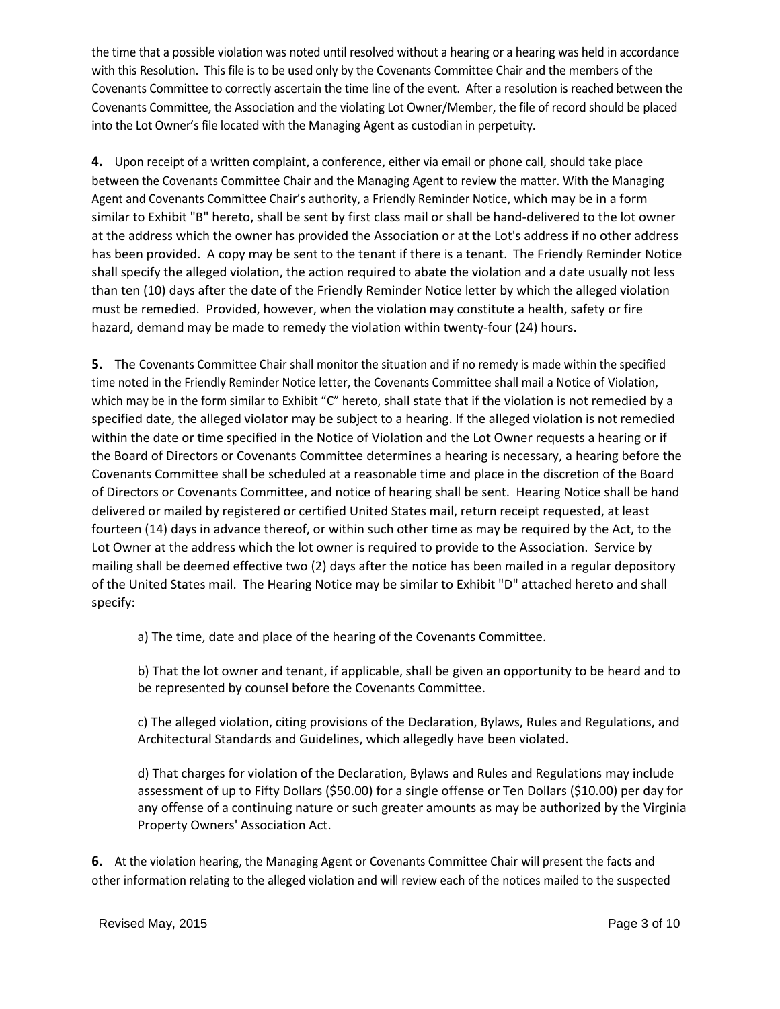the time that a possible violation was noted until resolved without a hearing or a hearing was held in accordance with this Resolution. This file is to be used only by the Covenants Committee Chair and the members of the Covenants Committee to correctly ascertain the time line of the event. After a resolution is reached between the Covenants Committee, the Association and the violating Lot Owner/Member, the file of record should be placed into the Lot Owner's file located with the Managing Agent as custodian in perpetuity.

**4.** Upon receipt of a written complaint, a conference, either via email or phone call, should take place between the Covenants Committee Chair and the Managing Agent to review the matter. With the Managing Agent and Covenants Committee Chair's authority, a Friendly Reminder Notice, which may be in a form similar to Exhibit "B" hereto, shall be sent by first class mail or shall be hand-delivered to the lot owner at the address which the owner has provided the Association or at the Lot's address if no other address has been provided. A copy may be sent to the tenant if there is a tenant. The Friendly Reminder Notice shall specify the alleged violation, the action required to abate the violation and a date usually not less than ten (10) days after the date of the Friendly Reminder Notice letter by which the alleged violation must be remedied. Provided, however, when the violation may constitute a health, safety or fire hazard, demand may be made to remedy the violation within twenty-four (24) hours.

**5.** The Covenants Committee Chair shall monitor the situation and if no remedy is made within the specified time noted in the Friendly Reminder Notice letter, the Covenants Committee shall mail a Notice of Violation, which may be in the form similar to Exhibit "C" hereto, shall state that if the violation is not remedied by a specified date, the alleged violator may be subject to a hearing. If the alleged violation is not remedied within the date or time specified in the Notice of Violation and the Lot Owner requests a hearing or if the Board of Directors or Covenants Committee determines a hearing is necessary, a hearing before the Covenants Committee shall be scheduled at a reasonable time and place in the discretion of the Board of Directors or Covenants Committee, and notice of hearing shall be sent. Hearing Notice shall be hand delivered or mailed by registered or certified United States mail, return receipt requested, at least fourteen (14) days in advance thereof, or within such other time as may be required by the Act, to the Lot Owner at the address which the lot owner is required to provide to the Association. Service by mailing shall be deemed effective two (2) days after the notice has been mailed in a regular depository of the United States mail. The Hearing Notice may be similar to Exhibit "D" attached hereto and shall specify:

a) The time, date and place of the hearing of the Covenants Committee.

b) That the lot owner and tenant, if applicable, shall be given an opportunity to be heard and to be represented by counsel before the Covenants Committee.

c) The alleged violation, citing provisions of the Declaration, Bylaws, Rules and Regulations, and Architectural Standards and Guidelines, which allegedly have been violated.

d) That charges for violation of the Declaration, Bylaws and Rules and Regulations may include assessment of up to Fifty Dollars (\$50.00) for a single offense or Ten Dollars (\$10.00) per day for any offense of a continuing nature or such greater amounts as may be authorized by the Virginia Property Owners' Association Act.

**6.** At the violation hearing, the Managing Agent or Covenants Committee Chair will present the facts and other information relating to the alleged violation and will review each of the notices mailed to the suspected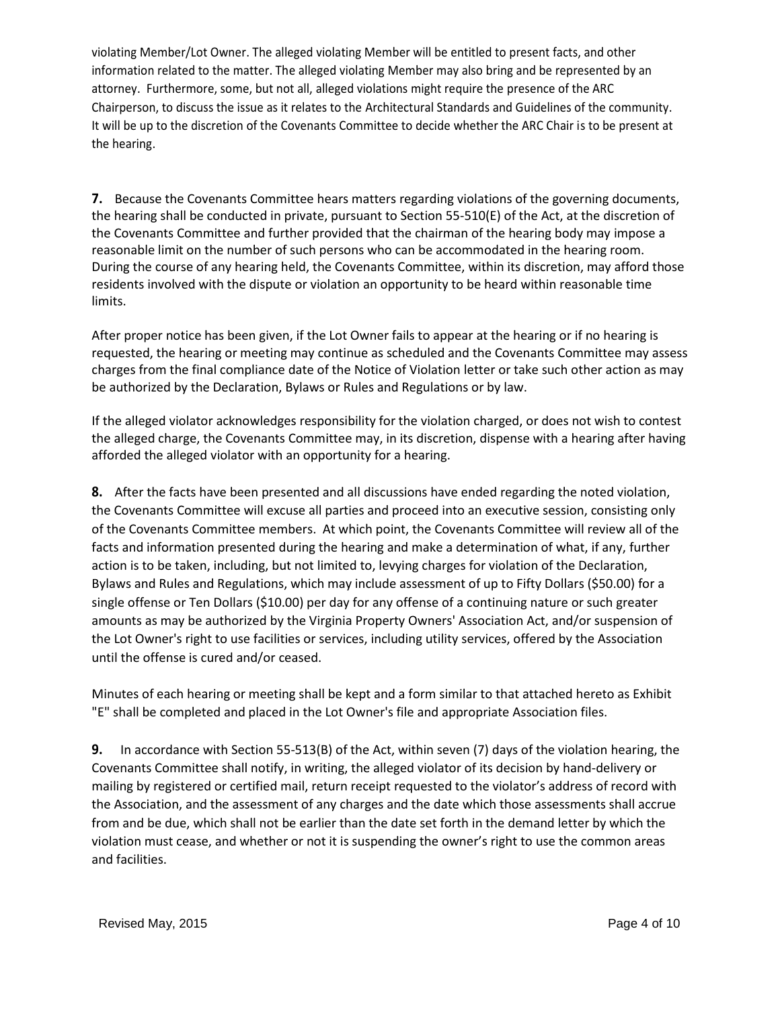violating Member/Lot Owner. The alleged violating Member will be entitled to present facts, and other information related to the matter. The alleged violating Member may also bring and be represented by an attorney. Furthermore, some, but not all, alleged violations might require the presence of the ARC Chairperson, to discuss the issue as it relates to the Architectural Standards and Guidelines of the community. It will be up to the discretion of the Covenants Committee to decide whether the ARC Chair is to be present at the hearing.

**7.** Because the Covenants Committee hears matters regarding violations of the governing documents, the hearing shall be conducted in private, pursuant to Section 55-510(E) of the Act, at the discretion of the Covenants Committee and further provided that the chairman of the hearing body may impose a reasonable limit on the number of such persons who can be accommodated in the hearing room. During the course of any hearing held, the Covenants Committee, within its discretion, may afford those residents involved with the dispute or violation an opportunity to be heard within reasonable time limits.

After proper notice has been given, if the Lot Owner fails to appear at the hearing or if no hearing is requested, the hearing or meeting may continue as scheduled and the Covenants Committee may assess charges from the final compliance date of the Notice of Violation letter or take such other action as may be authorized by the Declaration, Bylaws or Rules and Regulations or by law.

If the alleged violator acknowledges responsibility for the violation charged, or does not wish to contest the alleged charge, the Covenants Committee may, in its discretion, dispense with a hearing after having afforded the alleged violator with an opportunity for a hearing.

**8.** After the facts have been presented and all discussions have ended regarding the noted violation, the Covenants Committee will excuse all parties and proceed into an executive session, consisting only of the Covenants Committee members. At which point, the Covenants Committee will review all of the facts and information presented during the hearing and make a determination of what, if any, further action is to be taken, including, but not limited to, levying charges for violation of the Declaration, Bylaws and Rules and Regulations, which may include assessment of up to Fifty Dollars (\$50.00) for a single offense or Ten Dollars (\$10.00) per day for any offense of a continuing nature or such greater amounts as may be authorized by the Virginia Property Owners' Association Act, and/or suspension of the Lot Owner's right to use facilities or services, including utility services, offered by the Association until the offense is cured and/or ceased.

Minutes of each hearing or meeting shall be kept and a form similar to that attached hereto as Exhibit "E" shall be completed and placed in the Lot Owner's file and appropriate Association files.

**9.** In accordance with Section 55-513(B) of the Act, within seven (7) days of the violation hearing, the Covenants Committee shall notify, in writing, the alleged violator of its decision by hand-delivery or mailing by registered or certified mail, return receipt requested to the violator's address of record with the Association, and the assessment of any charges and the date which those assessments shall accrue from and be due, which shall not be earlier than the date set forth in the demand letter by which the violation must cease, and whether or not it is suspending the owner's right to use the common areas and facilities.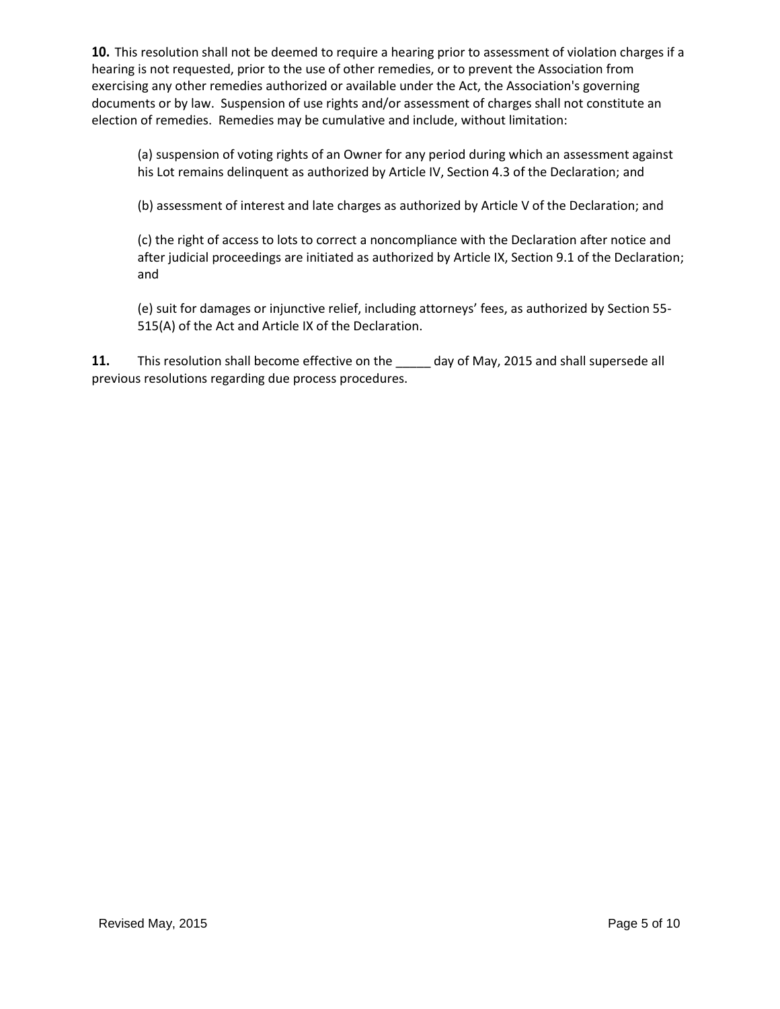**10.** This resolution shall not be deemed to require a hearing prior to assessment of violation charges if a hearing is not requested, prior to the use of other remedies, or to prevent the Association from exercising any other remedies authorized or available under the Act, the Association's governing documents or by law. Suspension of use rights and/or assessment of charges shall not constitute an election of remedies. Remedies may be cumulative and include, without limitation:

(a) suspension of voting rights of an Owner for any period during which an assessment against his Lot remains delinquent as authorized by Article IV, Section 4.3 of the Declaration; and

(b) assessment of interest and late charges as authorized by Article V of the Declaration; and

(c) the right of access to lots to correct a noncompliance with the Declaration after notice and after judicial proceedings are initiated as authorized by Article IX, Section 9.1 of the Declaration; and

(e) suit for damages or injunctive relief, including attorneys' fees, as authorized by Section 55- 515(A) of the Act and Article IX of the Declaration.

**11.** This resolution shall become effective on the \_\_\_\_\_ day of May, 2015 and shall supersede all previous resolutions regarding due process procedures.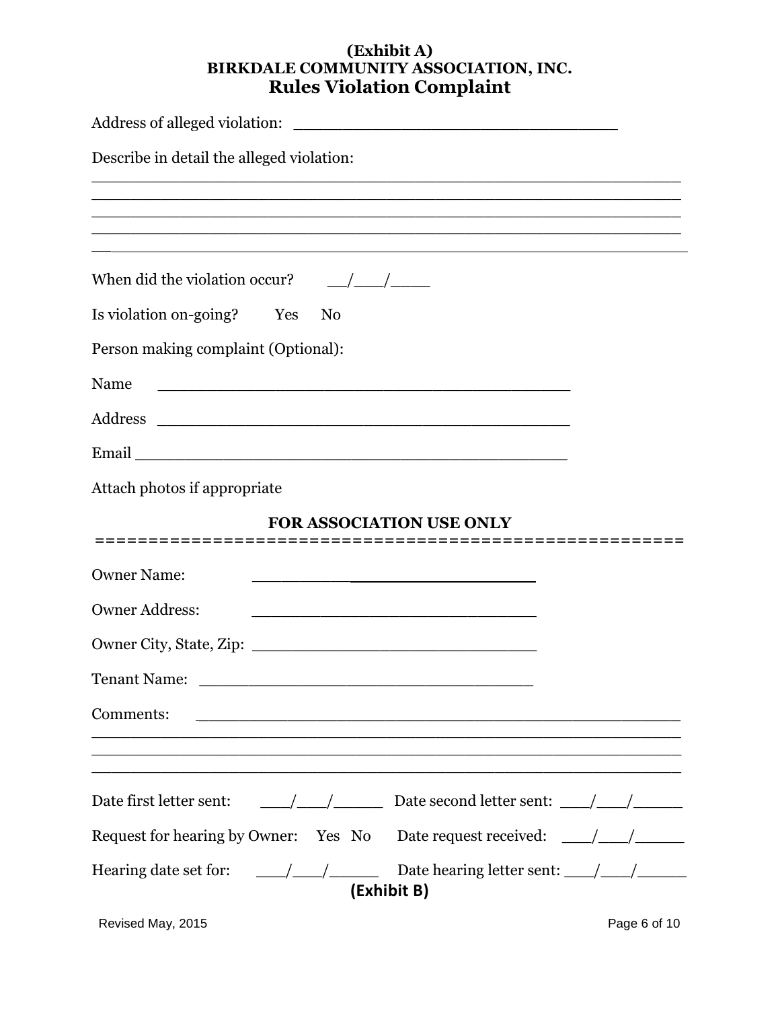#### **(Exhibit A) BIRKDALE COMMUNITY ASSOCIATION, INC. Rules Violation Complaint**

| Describe in detail the alleged violation:                                                                                                                                                                                                                                                                                                                                                                                                        |
|--------------------------------------------------------------------------------------------------------------------------------------------------------------------------------------------------------------------------------------------------------------------------------------------------------------------------------------------------------------------------------------------------------------------------------------------------|
|                                                                                                                                                                                                                                                                                                                                                                                                                                                  |
|                                                                                                                                                                                                                                                                                                                                                                                                                                                  |
| When did the violation occur?<br>$\frac{1}{\sqrt{1-\frac{1}{2}}}$                                                                                                                                                                                                                                                                                                                                                                                |
| Is violation on-going? Yes<br>N <sub>0</sub>                                                                                                                                                                                                                                                                                                                                                                                                     |
| Person making complaint (Optional):                                                                                                                                                                                                                                                                                                                                                                                                              |
| <u> 2000 - Jan James James James James James James James James James James James James James James James James J</u><br>Name                                                                                                                                                                                                                                                                                                                     |
|                                                                                                                                                                                                                                                                                                                                                                                                                                                  |
|                                                                                                                                                                                                                                                                                                                                                                                                                                                  |
| Attach photos if appropriate                                                                                                                                                                                                                                                                                                                                                                                                                     |
| <b>FOR ASSOCIATION USE ONLY</b>                                                                                                                                                                                                                                                                                                                                                                                                                  |
| <b>Owner Name:</b><br><u> 1989 - Johann John Stone, markin film yn y brening yn y brening yn y brening yn y brening yn y brening y bre</u>                                                                                                                                                                                                                                                                                                       |
| <b>Owner Address:</b>                                                                                                                                                                                                                                                                                                                                                                                                                            |
| Owner City, State, Zip: 2008. Example 2014. The State of Taylor 2014.                                                                                                                                                                                                                                                                                                                                                                            |
| <b>Tenant Name:</b>                                                                                                                                                                                                                                                                                                                                                                                                                              |
| Comments:<br><u> 1989 - Jan Barnett, fransk politik (d. 1989)</u>                                                                                                                                                                                                                                                                                                                                                                                |
|                                                                                                                                                                                                                                                                                                                                                                                                                                                  |
| Date first letter sent:<br>$\frac{1}{\sqrt{1-\frac{1}{1-\frac{1}{1-\frac{1}{1-\frac{1}{1-\frac{1}{1-\frac{1}{1-\frac{1}{1-\frac{1}{1-\frac{1}{1-\frac{1}{1-\frac{1}{1-\frac{1}{1-\frac{1}{1-\frac{1}{1-\frac{1}{1-\frac{1}{1-\frac{1}{1-\frac{1}{1-\frac{1}{1-\frac{1}{1-\frac{1}{1-\frac{1}{1-\frac{1}{1-\frac{1}{1-\frac{1}{1-\frac{1}{1-\frac{1}{1-\frac{1}{1-\frac{1}{1-\frac{1}{1-\frac{1}{1-\frac{1}{1-\frac{1}{1-\frac{1}{1-\frac{1}{1-\$ |
| Request for hearing by Owner: Yes No<br>Date request received: $\frac{\sqrt{2}}{2}$                                                                                                                                                                                                                                                                                                                                                              |
| Hearing date set for:<br>$\frac{\frac{1}{2}}{\frac{1}{2}}$<br>(Exhibit B)                                                                                                                                                                                                                                                                                                                                                                        |

Revised May, 2015 **Page 6 of 10**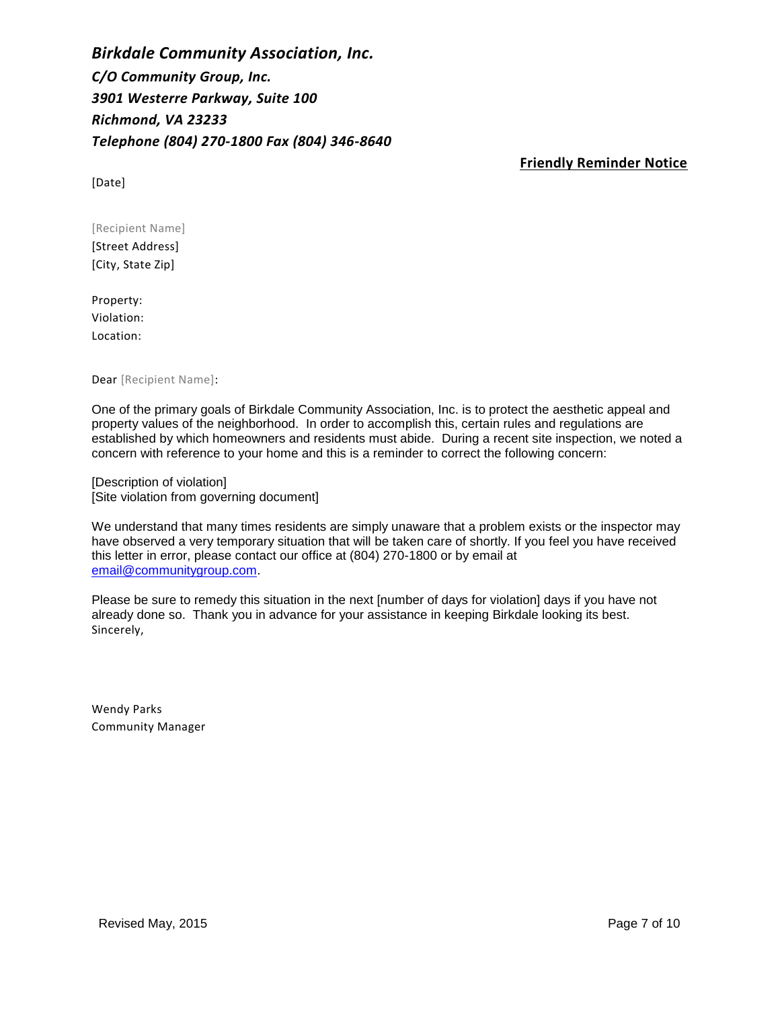*Birkdale Community Association, Inc. C/O Community Group, Inc. 3901 Westerre Parkway, Suite 100 Richmond, VA 23233 Telephone (804) 270-1800 Fax (804) 346-8640*

**Friendly Reminder Notice**

[Date]

[Recipient Name] [Street Address] [City, State Zip]

Property: Violation: Location:

Dear [Recipient Name]:

One of the primary goals of Birkdale Community Association, Inc. is to protect the aesthetic appeal and property values of the neighborhood. In order to accomplish this, certain rules and regulations are established by which homeowners and residents must abide. During a recent site inspection, we noted a concern with reference to your home and this is a reminder to correct the following concern:

[Description of violation] [Site violation from governing document]

We understand that many times residents are simply unaware that a problem exists or the inspector may have observed a very temporary situation that will be taken care of shortly. If you feel you have received this letter in error, please contact our office at (804) 270-1800 or by email at [email@communitygroup.com.](mailto:email@communitygroup.com)

Please be sure to remedy this situation in the next [number of days for violation] days if you have not already done so. Thank you in advance for your assistance in keeping Birkdale looking its best. Sincerely,

Wendy Parks Community Manager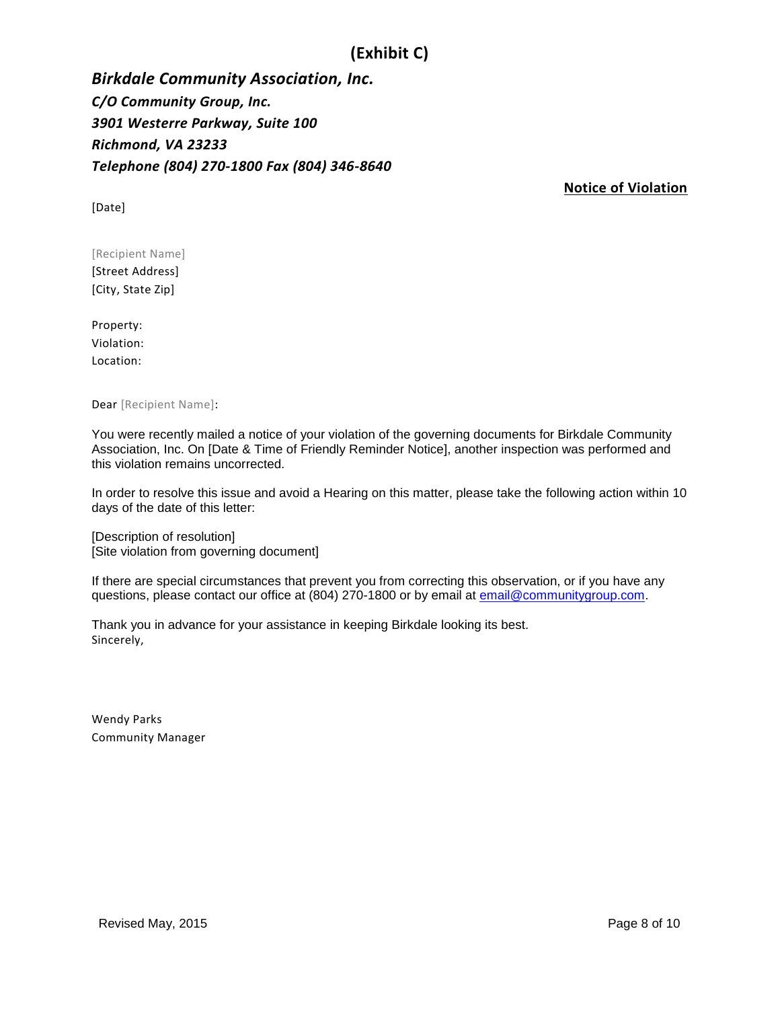# **(Exhibit C)**

*Birkdale Community Association, Inc. C/O Community Group, Inc. 3901 Westerre Parkway, Suite 100 Richmond, VA 23233 Telephone (804) 270-1800 Fax (804) 346-8640*

[Date]

**Notice of Violation**

[Recipient Name] [Street Address] [City, State Zip]

Property: Violation: Location:

Dear [Recipient Name]:

You were recently mailed a notice of your violation of the governing documents for Birkdale Community Association, Inc. On [Date & Time of Friendly Reminder Notice], another inspection was performed and this violation remains uncorrected.

In order to resolve this issue and avoid a Hearing on this matter, please take the following action within 10 days of the date of this letter:

[Description of resolution] [Site violation from governing document]

If there are special circumstances that prevent you from correcting this observation, or if you have any questions, please contact our office at (804) 270-1800 or by email at [email@communitygroup.com.](mailto:email@communitygroup.com)

Thank you in advance for your assistance in keeping Birkdale looking its best. Sincerely,

Wendy Parks Community Manager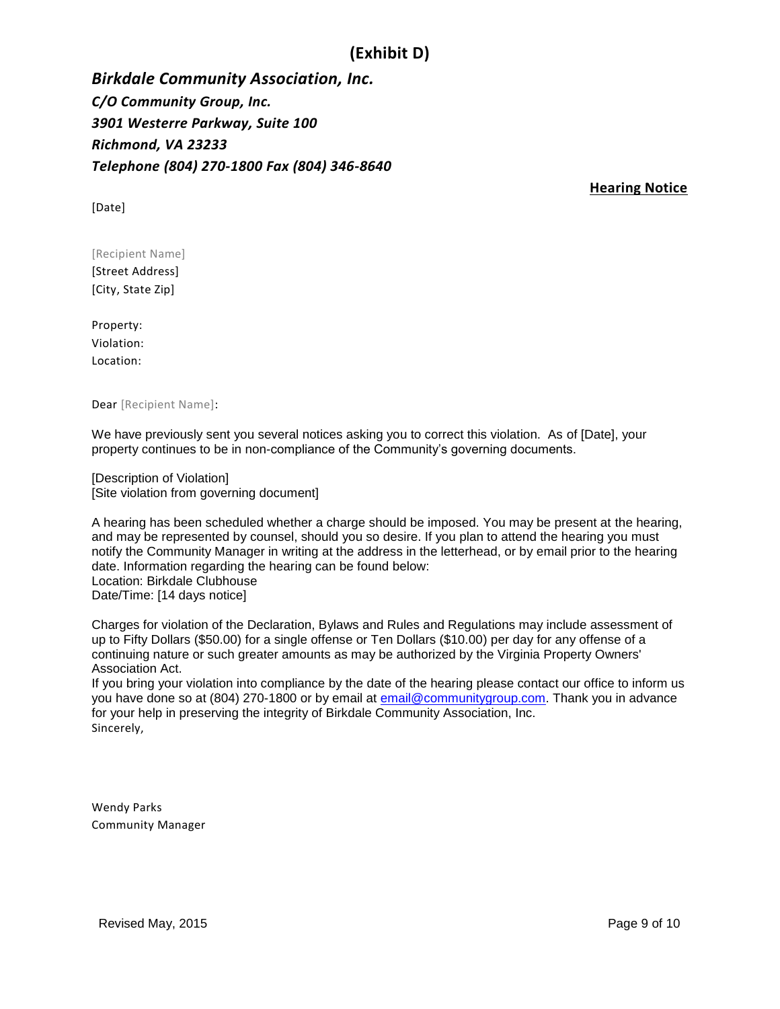## **(Exhibit D)**

*Birkdale Community Association, Inc. C/O Community Group, Inc. 3901 Westerre Parkway, Suite 100 Richmond, VA 23233 Telephone (804) 270-1800 Fax (804) 346-8640*

[Date]

**Hearing Notice**

[Recipient Name] [Street Address] [City, State Zip]

Property: Violation: Location:

Dear [Recipient Name]:

We have previously sent you several notices asking you to correct this violation. As of [Date], your property continues to be in non-compliance of the Community's governing documents.

[Description of Violation] [Site violation from governing document]

A hearing has been scheduled whether a charge should be imposed. You may be present at the hearing, and may be represented by counsel, should you so desire. If you plan to attend the hearing you must notify the Community Manager in writing at the address in the letterhead, or by email prior to the hearing date. Information regarding the hearing can be found below: Location: Birkdale Clubhouse Date/Time: [14 days notice]

Charges for violation of the Declaration, Bylaws and Rules and Regulations may include assessment of up to Fifty Dollars (\$50.00) for a single offense or Ten Dollars (\$10.00) per day for any offense of a continuing nature or such greater amounts as may be authorized by the Virginia Property Owners' Association Act.

If you bring your violation into compliance by the date of the hearing please contact our office to inform us you have done so at (804) 270-1800 or by email at [email@communitygroup.com.](mailto:email@communitygroup.com) Thank you in advance for your help in preserving the integrity of Birkdale Community Association, Inc. Sincerely,

Wendy Parks Community Manager